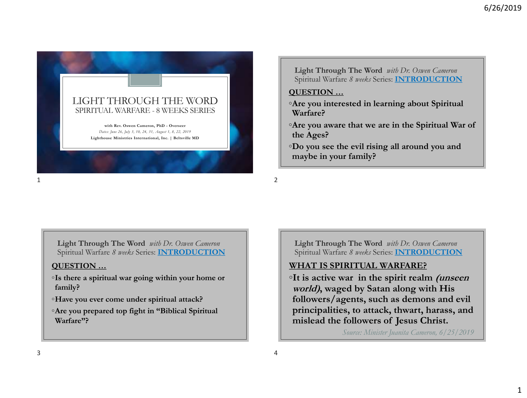

**Light Through The Word** *with Dr. Oswen Cameron* Spiritual Warfare *8 weeks* Series: **INTRODUCTION**

## **QUESTION …**

- ◦**Are you interested in learning about Spiritual Warfare?**
- ◦**Are you aware that we are in the Spiritual War of the Ages?**
- ◦**Do you see the evil rising all around you and maybe in your family?**
- $1$

**Light Through The Word** *with Dr. Oswen Cameron* Spiritual Warfare *8 weeks* Series: **INTRODUCTION**

### **QUESTION …**

- ◦**Is there a spiritual war going within your home or family?**
- ◦**Have you ever come under spiritual attack?**
- ◦**Are you prepared top fight in "Biblical Spiritual Warfare"?**

**Light Through The Word** *with Dr. Oswen Cameron* Spiritual Warfare *8 weeks* Series: **INTRODUCTION**

# **WHAT IS SPIRITUAL WARFARE?**

◦**It is active war in the spirit realm (unseen world), waged by Satan along with His followers/agents, such as demons and evil principalities, to attack, thwart, harass, and mislead the followers of Jesus Christ.** 

*Source: Minister Juanita Cameron, 6/25/2019*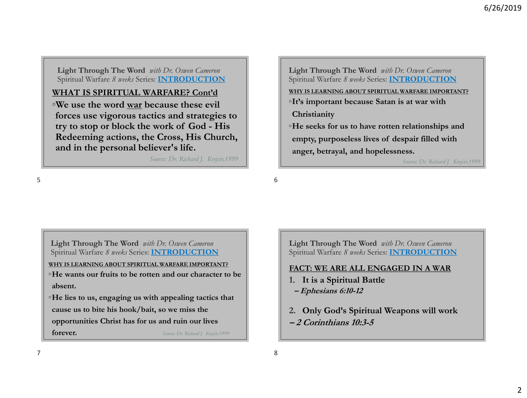**Light Through The Word** *with Dr. Oswen Cameron* Spiritual Warfare *8 weeks* Series: **INTRODUCTION**

## **WHAT IS SPIRITUAL WARFARE? Cont'd**

◦**We use the word war because these evil forces use vigorous tactics and strategies to try to stop or block the work of God - His Redeeming actions, the Cross, His Church, and in the personal believer's life.** 

*Source: Dr. Richard J. Krejcir,1999*

**Light Through The Word** *with Dr. Oswen Cameron* Spiritual Warfare *8 weeks* Series: **INTRODUCTION WHY IS LEARNING ABOUT SPIRITUAL WARFARE IMPORTANT?** ◦**It's important because Satan is at war with Christianity** ◦**He seeks for us to have rotten relationships and empty, purposeless lives of despair filled with anger, betrayal, and hopelessness.**  *Source: Dr. Richard J. Krejcir,1999*

 $5<sup>6</sup>$ 

**Light Through The Word** *with Dr. Oswen Cameron* Spiritual Warfare *8 weeks* Series: **INTRODUCTION**

**WHY IS LEARNING ABOUT SPIRITUAL WARFARE IMPORTANT?** ◦**He wants our fruits to be rotten and our character to be absent.** 

◦**He lies to us, engaging us with appealing tactics that cause us to bite his hook/bait, so we miss the opportunities Christ has for us and ruin our lives forever.** *Source: Dr. Richard J. Krejcir,1999*

**Light Through The Word** *with Dr. Oswen Cameron* Spiritual Warfare *8 weeks* Series: **INTRODUCTION**

## **FACT: WE ARE ALL ENGAGED IN A WAR**

- **1. It is a Spiritual Battle**
- **– Ephesians 6:10-12**
- **2. Only God's Spiritual Weapons will work – 2 Corinthians 10:3-5**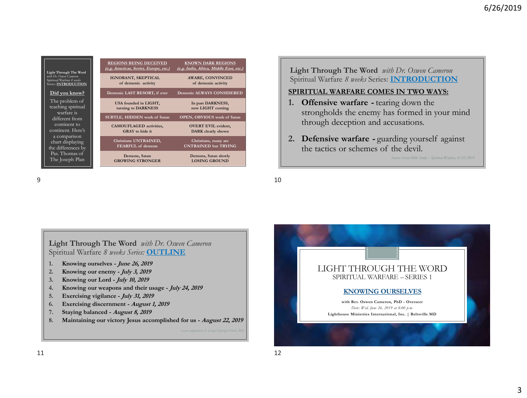| Light Through The Word<br>with Dr. Oswen Cameron<br>Spiritual Warfare 8 weeks<br>Series: INTRODUCTION | <b>REGIONS BEING DECEIVED</b><br>(e.g. Americas, Soviet, Europe, etc.) | <b>KNOWN DARK REGIONS</b><br>(e.g. India, Africa, Middle East, etc.) |
|-------------------------------------------------------------------------------------------------------|------------------------------------------------------------------------|----------------------------------------------------------------------|
|                                                                                                       | IGNORANT, SKEPTICAL<br>of demonic activity                             | <b>AWARE, CONVINCED</b><br>of demonic activity                       |
| Did you know?                                                                                         | Demonic LAST RESORT, if ever                                           | <b>Demonic ALWAYS CONSIDERED</b>                                     |
| The problem of<br>teaching spiritual<br>warfare is                                                    | USA founded in LIGHT,<br>turning to DARKNESS                           | In past DARKNESS,<br>now LIGHT coming                                |
| different from                                                                                        | SUBTLE, HIDDEN work of Satan                                           | <b>OPEN, OBVIOUS</b> work of Satan                                   |
| continent to<br>continent. Here's                                                                     | <b>CAMOUFLAGED</b> activities,<br><b>GRAY</b> to hide it               | <b>OVERT EVIL evident,</b><br><b>DARK</b> clearly shown              |
| a comparison<br>chart displaying<br>the differences by<br>Pas. Thomas of<br>The Joseph Plan           | Christians UNTRAINED,<br>FEARFUL of demons                             | Christians, many are<br><b>UNTRAINED but TRYING</b>                  |
|                                                                                                       | Demons, Satan<br><b>GROWING STRONGER</b>                               | Demons, Satan slowly<br><b>LOSING GROUND</b>                         |

**Light Through The Word** *with Dr. Oswen Cameron* Spiritual Warfare *8 weeks* Series: **INTRODUCTION**

#### **SPIRITUAL WARFARE COMES IN TWO WAYS:**

- **1. Offensive warfare -** tearing down the strongholds the enemy has formed in your mind through deception and accusations.
- **2. Defensive warfare -** guarding yourself against the tactics or schemes of the devil.

*Source: Great Bible Study – Spiritual Warfare, 6/25/2019*

 $9 \hspace{2.5cm} 10$ 



**8. Maintaining our victory Jesus accomplished for us - August 22, 2019**

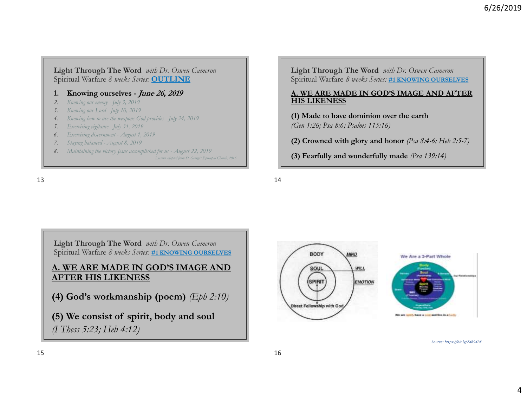**Light Through The Word** *with Dr. Oswen Cameron* Spiritual Warfare *8 weeks Series:* **OUTLINE**

#### **1. Knowing ourselves - June 26, 2019**

- *2. Knowing our enemy - July 3, 2019*
- *3. Knowing our Lord - July 10, 2019*
- *4. Knowing how to use the weapons God provides - July 24, 2019*
- *5. Exercising vigilance - July 31, 2019*
- *6. Exercising discernment - August 1, 2019*
- *7. Staying balanced - August 8, 2019*
- *8. Maintaining the victory Jesus accomplished for us - August 22, 2019 Lessons adapted from St. George's Episcopal Church, 2016*

 $13$ 

**Light Through The Word** *with Dr. Oswen Cameron* Spiritual Warfare *8 weeks Series:* **#1 KNOWING OURSELVES**

#### **A. WE ARE MADE IN GOD'S IMAGE AND AFTER HIS LIKENESS**

**(1) Made to have dominion over the earth**  *(Gen 1:26; Psa 8:6; Psalms 115:16)*

**(2) Crowned with glory and honor** *(Psa 8:4-6; Heb 2:5-7)*

**(3) Fearfully and wonderfully made** *(Psa 139:14)*

**Light Through The Word** *with Dr. Oswen Cameron* Spiritual Warfare *8 weeks Series:* **#1 KNOWING OURSELVES**

## **A. WE ARE MADE IN GOD'S IMAGE AND AFTER HIS LIKENESS**

**(4) God's workmanship (poem)** *(Eph 2:10)* 

**(5) We consist of spirit, body and soul**  *(I Thess 5:23; Heb 4:12)*



*Source: https://bit.ly/2X89XBX*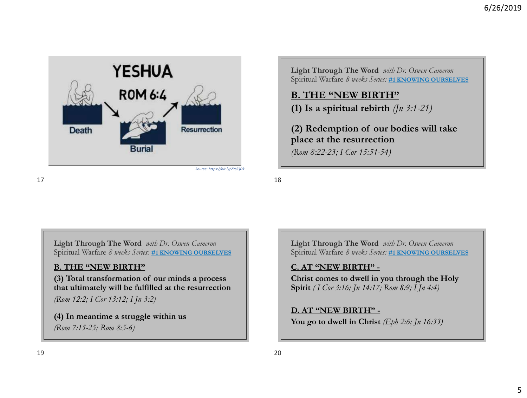

**B. THE "NEW BIRTH" (1) Is a spiritual rebirth** *(Jn 3:1-21)*

**(2) Redemption of our bodies will take place at the resurrection** 

*(Rom 8:22-23; I Cor 15:51-54)*

**Light Through The Word** *with Dr. Oswen Cameron* Spiritual Warfare *8 weeks Series:* **#1 KNOWING OURSELVES**

## **B. THE "NEW BIRTH"**

**(3) Total transformation of our minds a process that ultimately will be fulfilled at the resurrection**  *(Rom 12:2; I Cor 13:12; I Jn 3:2)*

**(4) In meantime a struggle within us**  *(Rom 7:15-25; Rom 8:5-6)*

**Light Through The Word** *with Dr. Oswen Cameron* Spiritual Warfare *8 weeks Series:* **#1 KNOWING OURSELVES**

## **C. AT "NEW BIRTH" -**

**Christ comes to dwell in you through the Holy Spirit** *( I Cor 3:16; Jn 14:17; Rom 8:9; I Jn 4:4)*

## **D. AT "NEW BIRTH" -**

**You go to dwell in Christ** *(Eph 2:6; Jn 16:33)*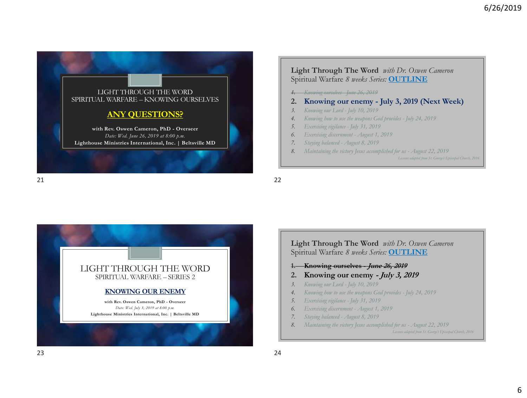

#### **Light Through The Word** *with Dr. Oswen Cameron* Spiritual Warfare *8 weeks Series:* **OUTLINE**

- *1. Knowing ourselves - June 26, 2019*
- **2. Knowing our enemy - July 3, 2019 (Next Week)**
- *3. Knowing our Lord - July 10, 2019*
- *4. Knowing how to use the weapons God provides - July 24, 2019*
- *5. Exercising vigilance - July 31, 2019*
- *6. Exercising discernment - August 1, 2019*
- *7. Staying balanced - August 8, 2019*
- *8. Maintaining the victory Jesus accomplished for us - August 22, 2019*

*Lessons adapted from St. George's Episcopal Church, 2016*

21 22



**Light Through The Word** *with Dr. Oswen Cameron* Spiritual Warfare *8 weeks Series:* **OUTLINE 1. Knowing ourselves - June 26, 2019 2. Knowing our enemy - July 3, 2019** *3. Knowing our Lord - July 10, 2019 4. Knowing how to use the weapons God provides - July 24, 2019 5. Exercising vigilance - July 31, 2019 6. Exercising discernment - August 1, 2019 7. Staying balanced - August 8, 2019 8. Maintaining the victory Jesus accomplished for us - August 22, 2019 Lessons adapted from St. George's Episcopal Church, 2016*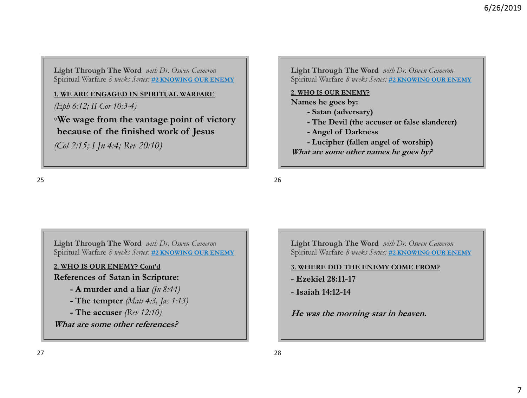### **1. WE ARE ENGAGED IN SPIRITUAL WARFARE**

*(Eph 6:12; II Cor 10:3-4)*

◦**We wage from the vantage point of victory because of the finished work of Jesus** 

*(Col 2:15; I Jn 4:4; Rev 20:10)*

**Light Through The Word** *with Dr. Oswen Cameron* Spiritual Warfare *8 weeks Series:* **#2 KNOWING OUR ENEMY**

#### **2. WHO IS OUR ENEMY?**

**Names he goes by:** 

- **- Satan (adversary)**
- **- The Devil (the accuser or false slanderer)**
- **- Angel of Darkness**
- **- Lucipher (fallen angel of worship)**

**What are some other names he goes by?**

 $25$ 

**Light Through The Word** *with Dr. Oswen Cameron* Spiritual Warfare *8 weeks Series:* **#2 KNOWING OUR ENEMY**

## **2. WHO IS OUR ENEMY? Cont'd**

## **References of Satan in Scripture:**

- **- A murder and a liar** *(Jn 8:44)*
- **- The tempter** *(Matt 4:3, Jas 1:13)*
- **- The accuser** *(Rev 12:10)*

**What are some other references?**

**Light Through The Word** *with Dr. Oswen Cameron* Spiritual Warfare *8 weeks Series:* **#2 KNOWING OUR ENEMY**

### **3. WHERE DID THE ENEMY COME FROM?**

- **- Ezekiel 28:11-17**
- **- Isaiah 14:12-14**

**He was the morning star in heaven.**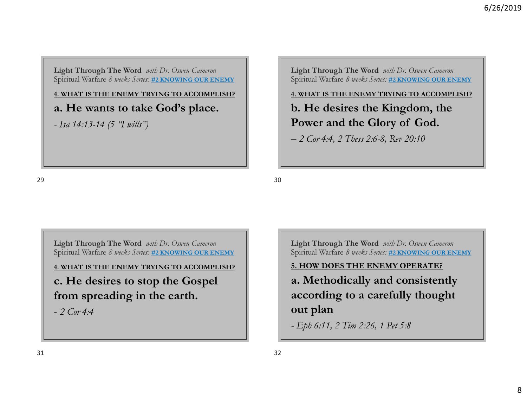**4. WHAT IS THE ENEMY TRYING TO ACCOMPLISH?**

**a. He wants to take God's place.** 

*- Isa 14:13-14 (5 "I wills")*

 $29$  30

**Light Through The Word** *with Dr. Oswen Cameron* Spiritual Warfare *8 weeks Series:* **#2 KNOWING OUR ENEMY**

**4. WHAT IS THE ENEMY TRYING TO ACCOMPLISH?**

**b. He desires the Kingdom, the Power and the Glory of God.** 

*– 2 Cor 4:4, 2 Thess 2:6-8, Rev 20:10*

**Light Through The Word** *with Dr. Oswen Cameron* Spiritual Warfare *8 weeks Series:* **#2 KNOWING OUR ENEMY**

**4. WHAT IS THE ENEMY TRYING TO ACCOMPLISH? c. He desires to stop the Gospel from spreading in the earth.** 

- *2 Cor 4:4*

**Light Through The Word** *with Dr. Oswen Cameron* Spiritual Warfare *8 weeks Series:* **#2 KNOWING OUR ENEMY**

# **5. HOW DOES THE ENEMY OPERATE?**

**a. Methodically and consistently according to a carefully thought out plan** 

*- Eph 6:11, 2 Tim 2:26, 1 Pet 5:8*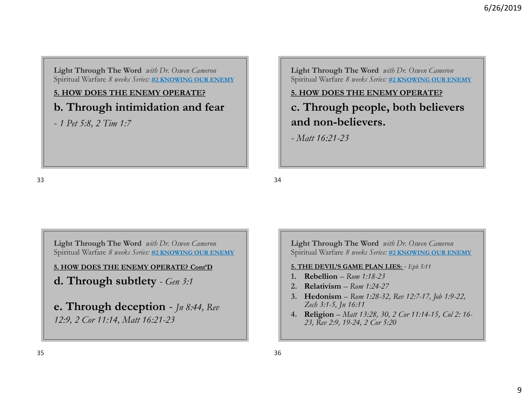**5. HOW DOES THE ENEMY OPERATE? b. Through intimidation and fear**

*- 1 Pet 5:8, 2 Tim 1:7*

**Light Through The Word** *with Dr. Oswen Cameron* Spiritual Warfare *8 weeks Series:* **#2 KNOWING OUR ENEMY**

## **5. HOW DOES THE ENEMY OPERATE?**

**c. Through people, both believers and non-believers.**

*- Matt 16:21-23*

 $33$ 

**Light Through The Word** *with Dr. Oswen Cameron* Spiritual Warfare *8 weeks Series:* **#2 KNOWING OUR ENEMY**

**5. HOW DOES THE ENEMY OPERATE? Cont'D**

**d. Through subtlety** *- Gen 3:1*

**e. Through deception** *- Jn 8:44, Rev 12:9, 2 Cor 11:14, Matt 16:21-23*

**Light Through The Word** *with Dr. Oswen Cameron* Spiritual Warfare *8 weeks Series:* **#2 KNOWING OUR ENEMY**

### **5. THE DEVIL'S GAME PLAN LIES:** *- Eph 5:11*

- **1. Rebellion** *Rom 1:18-23*
- **2. Relativism** *Rom 1:24-27*
- **3. Hedonism** *Rom 1:28-32, Rev 12:7-17, Job 1:9-22, Zech 3:1-5, Jn 16:11*
- **4. Religion** *Matt 13:28, 30, 2 Cor 11:14-15, Col 2: 16- 23, Rev 2:9, 19-24, 2 Cor 5:20*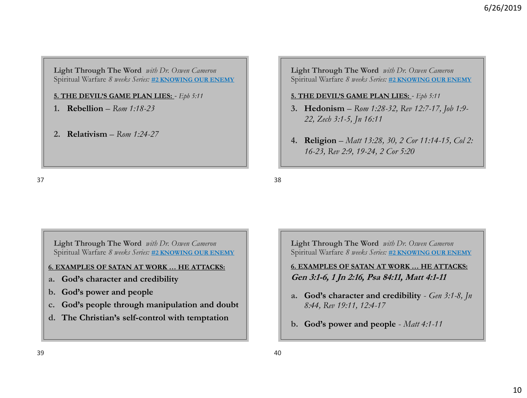**5. THE DEVIL'S GAME PLAN LIES:** *- Eph 5:11*

- **1. Rebellion** *Rom 1:18-23*
- **2. Relativism** *Rom 1:24-27*

**Light Through The Word** *with Dr. Oswen Cameron* Spiritual Warfare *8 weeks Series:* **#2 KNOWING OUR ENEMY**

### **5. THE DEVIL'S GAME PLAN LIES:** *- Eph 5:11*

- **3. Hedonism** *Rom 1:28-32, Rev 12:7-17, Job 1:9- 22, Zech 3:1-5, Jn 16:11*
- **4. Religion** *Matt 13:28, 30, 2 Cor 11:14-15, Col 2: 16-23, Rev 2:9, 19-24, 2 Cor 5:20*

 $37$ 

**Light Through The Word** *with Dr. Oswen Cameron* Spiritual Warfare *8 weeks Series:* **#2 KNOWING OUR ENEMY**

### **6. EXAMPLES OF SATAN AT WORK … HE ATTACKS:**

- **a. God's character and credibility**
- **b. God's power and people**
- **c. God's people through manipulation and doubt**
- **d. The Christian's self-control with temptation**

**Light Through The Word** *with Dr. Oswen Cameron* Spiritual Warfare *8 weeks Series:* **#2 KNOWING OUR ENEMY**

**6. EXAMPLES OF SATAN AT WORK … HE ATTACKS: Gen 3:1-6, 1 Jn 2:16, Psa 84:11, Matt 4:1-11**

- **a. God's character and credibility**  *Gen 3:1-8, Jn 8:44, Rev 19:11, 12:4-17*
- **b. God's power and people**  *Matt 4:1-11*